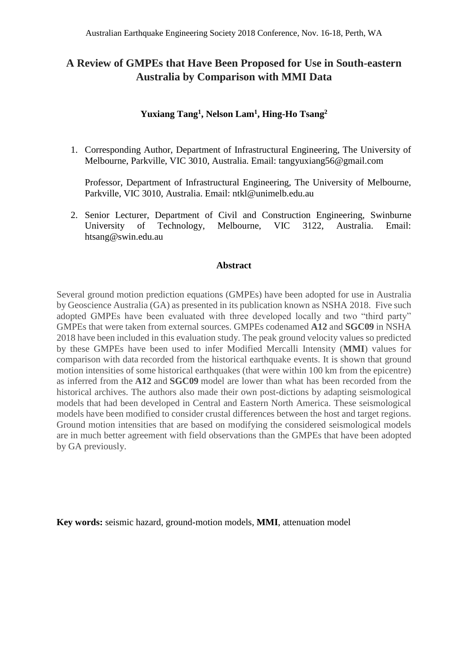# **A Review of GMPEs that Have Been Proposed for Use in South-eastern Australia by Comparison with MMI Data**

#### **Yuxiang Tang<sup>1</sup> , Nelson Lam<sup>1</sup> , Hing-Ho Tsang<sup>2</sup>**

1. Corresponding Author, Department of Infrastructural Engineering, The University of Melbourne, Parkville, VIC 3010, Australia. Email: tangyuxiang56@gmail.com

Professor, Department of Infrastructural Engineering, The University of Melbourne, Parkville, VIC 3010, Australia. Email: ntkl@unimelb.edu.au

2. Senior Lecturer, Department of Civil and Construction Engineering, Swinburne University of Technology, Melbourne, VIC 3122, Australia. Email: [htsang@swin.edu.au](mailto:htsang@swin.edu.au)

#### **Abstract**

Several ground motion prediction equations (GMPEs) have been adopted for use in Australia by Geoscience Australia (GA) as presented in its publication known as NSHA 2018. Five such adopted GMPEs have been evaluated with three developed locally and two "third party" GMPEs that were taken from external sources. GMPEs codenamed **A12** and **SGC09** in NSHA 2018 have been included in this evaluation study. The peak ground velocity values so predicted by these GMPEs have been used to infer Modified Mercalli Intensity (**MMI**) values for comparison with data recorded from the historical earthquake events. It is shown that ground motion intensities of some historical earthquakes (that were within 100 km from the epicentre) as inferred from the **A12** and **SGC09** model are lower than what has been recorded from the historical archives. The authors also made their own post-dictions by adapting seismological models that had been developed in Central and Eastern North America. These seismological models have been modified to consider crustal differences between the host and target regions. Ground motion intensities that are based on modifying the considered seismological models are in much better agreement with field observations than the GMPEs that have been adopted by GA previously.

**Key words:** seismic hazard, ground-motion models, **MMI**, attenuation model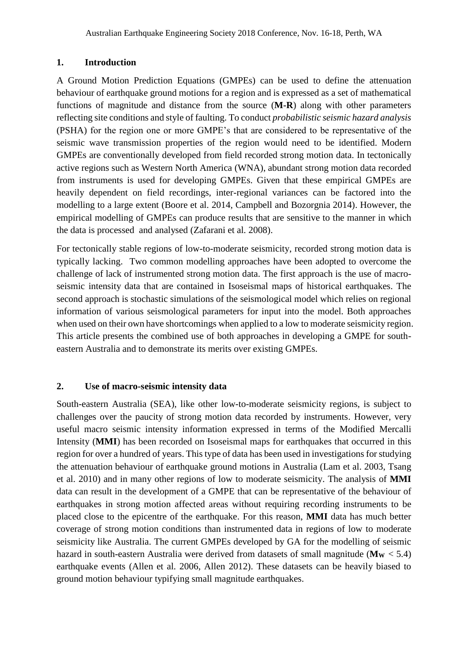#### **1. Introduction**

A Ground Motion Prediction Equations (GMPEs) can be used to define the attenuation behaviour of earthquake ground motions for a region and is expressed as a set of mathematical functions of magnitude and distance from the source (**M-R**) along with other parameters reflecting site conditions and style of faulting. To conduct *probabilistic seismic hazard analysis* (PSHA) for the region one or more GMPE's that are considered to be representative of the seismic wave transmission properties of the region would need to be identified. Modern GMPEs are conventionally developed from field recorded strong motion data. In tectonically active regions such as Western North America (WNA), abundant strong motion data recorded from instruments is used for developing GMPEs. Given that these empirical GMPEs are heavily dependent on field recordings, inter-regional variances can be factored into the modelling to a large extent (Boore et al. 2014, Campbell and Bozorgnia 2014). However, the empirical modelling of GMPEs can produce results that are sensitive to the manner in which the data is processed and analysed (Zafarani et al. 2008).

For tectonically stable regions of low-to-moderate seismicity, recorded strong motion data is typically lacking. Two common modelling approaches have been adopted to overcome the challenge of lack of instrumented strong motion data. The first approach is the use of macroseismic intensity data that are contained in Isoseismal maps of historical earthquakes. The second approach is stochastic simulations of the seismological model which relies on regional information of various seismological parameters for input into the model. Both approaches when used on their own have shortcomings when applied to a low to moderate seismicity region. This article presents the combined use of both approaches in developing a GMPE for southeastern Australia and to demonstrate its merits over existing GMPEs.

#### **2. Use of macro-seismic intensity data**

South-eastern Australia (SEA), like other low-to-moderate seismicity regions, is subject to challenges over the paucity of strong motion data recorded by instruments. However, very useful macro seismic intensity information expressed in terms of the Modified Mercalli Intensity (**MMI**) has been recorded on Isoseismal maps for earthquakes that occurred in this region for over a hundred of years. This type of data has been used in investigations for studying the attenuation behaviour of earthquake ground motions in Australia (Lam et al. 2003, Tsang et al. 2010) and in many other regions of low to moderate seismicity. The analysis of **MMI** data can result in the development of a GMPE that can be representative of the behaviour of earthquakes in strong motion affected areas without requiring recording instruments to be placed close to the epicentre of the earthquake. For this reason, **MMI** data has much better coverage of strong motion conditions than instrumented data in regions of low to moderate seismicity like Australia. The current GMPEs developed by GA for the modelling of seismic hazard in south-eastern Australia were derived from datasets of small magnitude ( $M_W < 5.4$ ) earthquake events (Allen et al. 2006, Allen 2012). These datasets can be heavily biased to ground motion behaviour typifying small magnitude earthquakes.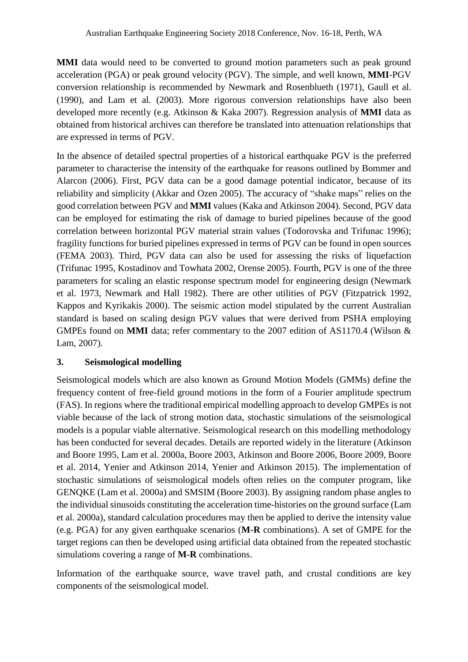**MMI** data would need to be converted to ground motion parameters such as peak ground acceleration (PGA) or peak ground velocity (PGV). The simple, and well known, **MMI**-PGV conversion relationship is recommended by Newmark and Rosenblueth (1971), Gaull et al. (1990), and Lam et al. (2003). More rigorous conversion relationships have also been developed more recently (e.g. Atkinson & Kaka 2007). Regression analysis of **MMI** data as obtained from historical archives can therefore be translated into attenuation relationships that are expressed in terms of PGV.

In the absence of detailed spectral properties of a historical earthquake PGV is the preferred parameter to characterise the intensity of the earthquake for reasons outlined by Bommer and Alarcon (2006). First, PGV data can be a good damage potential indicator, because of its reliability and simplicity (Akkar and Ozen 2005). The accuracy of "shake maps" relies on the good correlation between PGV and **MMI** values (Kaka and Atkinson 2004). Second, PGV data can be employed for estimating the risk of damage to buried pipelines because of the good correlation between horizontal PGV material strain values (Todorovska and Trifunac 1996); fragility functions for buried pipelines expressed in terms of PGV can be found in open sources (FEMA 2003). Third, PGV data can also be used for assessing the risks of liquefaction (Trifunac 1995, Kostadinov and Towhata 2002, Orense 2005). Fourth, PGV is one of the three parameters for scaling an elastic response spectrum model for engineering design (Newmark et al. 1973, Newmark and Hall 1982). There are other utilities of PGV (Fitzpatrick 1992, Kappos and Kyrikakis 2000). The seismic action model stipulated by the current Australian standard is based on scaling design PGV values that were derived from PSHA employing GMPEs found on **MMI** data; refer commentary to the 2007 edition of AS1170.4 (Wilson & Lam, 2007).

# **3. Seismological modelling**

Seismological models which are also known as Ground Motion Models (GMMs) define the frequency content of free-field ground motions in the form of a Fourier amplitude spectrum (FAS). In regions where the traditional empirical modelling approach to develop GMPEs is not viable because of the lack of strong motion data, stochastic simulations of the seismological models is a popular viable alternative. Seismological research on this modelling methodology has been conducted for several decades. Details are reported widely in the literature (Atkinson and Boore 1995, Lam et al. 2000a, Boore 2003, Atkinson and Boore 2006, Boore 2009, Boore et al. 2014, Yenier and Atkinson 2014, Yenier and Atkinson 2015). The implementation of stochastic simulations of seismological models often relies on the computer program, like GENQKE (Lam et al. 2000a) and SMSIM (Boore 2003). By assigning random phase angles to the individual sinusoids constituting the acceleration time-histories on the ground surface (Lam et al. 2000a), standard calculation procedures may then be applied to derive the intensity value (e.g. PGA) for any given earthquake scenarios (**M-R** combinations). A set of GMPE for the target regions can then be developed using artificial data obtained from the repeated stochastic simulations covering a range of **M-R** combinations.

Information of the earthquake source, wave travel path, and crustal conditions are key components of the seismological model.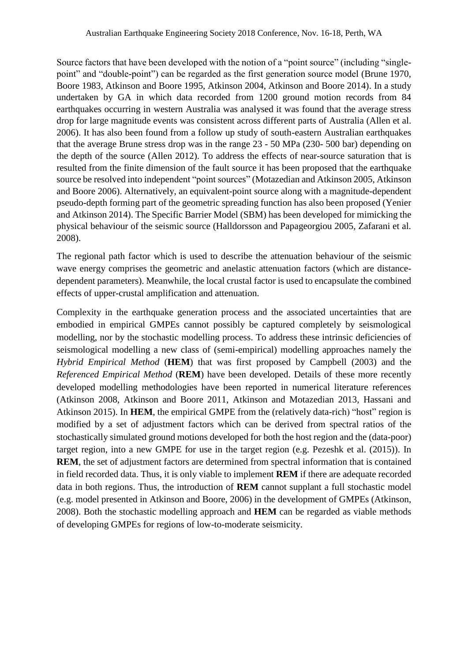Source factors that have been developed with the notion of a "point source" (including "singlepoint" and "double-point") can be regarded as the first generation source model (Brune 1970, Boore 1983, Atkinson and Boore 1995, Atkinson 2004, Atkinson and Boore 2014). In a study undertaken by GA in which data recorded from 1200 ground motion records from 84 earthquakes occurring in western Australia was analysed it was found that the average stress drop for large magnitude events was consistent across different parts of Australia (Allen et al. 2006). It has also been found from a follow up study of south-eastern Australian earthquakes that the average Brune stress drop was in the range 23 - 50 MPa (230- 500 bar) depending on the depth of the source (Allen 2012). To address the effects of near-source saturation that is resulted from the finite dimension of the fault source it has been proposed that the earthquake source be resolved into independent "point sources" (Motazedian and Atkinson 2005, Atkinson and Boore 2006). Alternatively, an equivalent-point source along with a magnitude-dependent pseudo-depth forming part of the geometric spreading function has also been proposed (Yenier and Atkinson 2014). The Specific Barrier Model (SBM) has been developed for mimicking the physical behaviour of the seismic source (Halldorsson and Papageorgiou 2005, Zafarani et al. 2008).

The regional path factor which is used to describe the attenuation behaviour of the seismic wave energy comprises the geometric and anelastic attenuation factors (which are distancedependent parameters). Meanwhile, the local crustal factor is used to encapsulate the combined effects of upper-crustal amplification and attenuation.

Complexity in the earthquake generation process and the associated uncertainties that are embodied in empirical GMPEs cannot possibly be captured completely by seismological modelling, nor by the stochastic modelling process. To address these intrinsic deficiencies of seismological modelling a new class of (semi-empirical) modelling approaches namely the *Hybrid Empirical Method* (**HEM**) that was first proposed by Campbell (2003) and the *Referenced Empirical Method* (**REM**) have been developed. Details of these more recently developed modelling methodologies have been reported in numerical literature references (Atkinson 2008, Atkinson and Boore 2011, Atkinson and Motazedian 2013, Hassani and Atkinson 2015). In **HEM**, the empirical GMPE from the (relatively data-rich) "host" region is modified by a set of adjustment factors which can be derived from spectral ratios of the stochastically simulated ground motions developed for both the host region and the (data-poor) target region, into a new GMPE for use in the target region (e.g. Pezeshk et al. (2015)). In **REM**, the set of adjustment factors are determined from spectral information that is contained in field recorded data. Thus, it is only viable to implement **REM** if there are adequate recorded data in both regions. Thus, the introduction of **REM** cannot supplant a full stochastic model (e.g. model presented in Atkinson and Boore, 2006) in the development of GMPEs (Atkinson, 2008). Both the stochastic modelling approach and **HEM** can be regarded as viable methods of developing GMPEs for regions of low-to-moderate seismicity.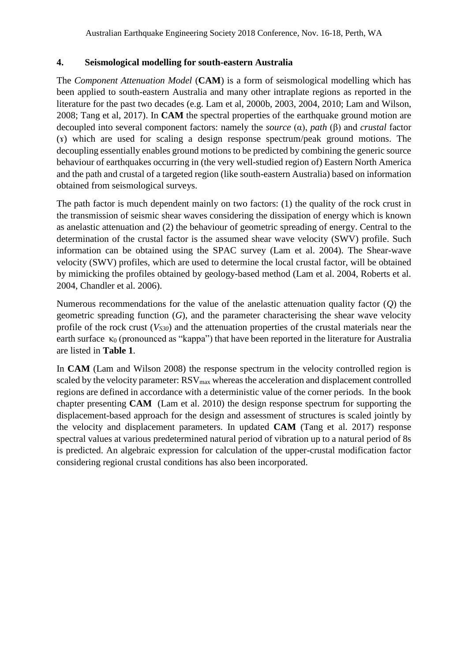### **4. Seismological modelling for south-eastern Australia**

The *Component Attenuation Model* (**CAM**) is a form of seismological modelling which has been applied to south-eastern Australia and many other intraplate regions as reported in the literature for the past two decades (e.g. Lam et al, 2000b, 2003, 2004, 2010; Lam and Wilson, 2008; Tang et al, 2017). In **CAM** the spectral properties of the earthquake ground motion are decoupled into several component factors: namely the *source* (α), *path* (β) and *crustal* factor (ɤ) which are used for scaling a design response spectrum/peak ground motions. The decoupling essentially enables ground motions to be predicted by combining the generic source behaviour of earthquakes occurring in (the very well-studied region of) Eastern North America and the path and crustal of a targeted region (like south-eastern Australia) based on information obtained from seismological surveys.

The path factor is much dependent mainly on two factors: (1) the quality of the rock crust in the transmission of seismic shear waves considering the dissipation of energy which is known as anelastic attenuation and (2) the behaviour of geometric spreading of energy. Central to the determination of the crustal factor is the assumed shear wave velocity (SWV) profile. Such information can be obtained using the SPAC survey (Lam et al. 2004). The Shear-wave velocity (SWV) profiles, which are used to determine the local crustal factor, will be obtained by mimicking the profiles obtained by geology-based method (Lam et al. 2004, Roberts et al. 2004, Chandler et al. 2006).

Numerous recommendations for the value of the anelastic attenuation quality factor (*Q*) the geometric spreading function (*G*), and the parameter characterising the shear wave velocity profile of the rock crust (*VS30*) and the attenuation properties of the crustal materials near the earth surface  $\kappa_0$  (pronounced as "kappa") that have been reported in the literature for Australia are listed in **Table 1**.

In **CAM** (Lam and Wilson 2008) the response spectrum in the velocity controlled region is scaled by the velocity parameter: RSV<sub>max</sub> whereas the acceleration and displacement controlled regions are defined in accordance with a deterministic value of the corner periods. In the book chapter presenting **CAM** (Lam et al. 2010) the design response spectrum for supporting the displacement-based approach for the design and assessment of structures is scaled jointly by the velocity and displacement parameters. In updated **CAM** (Tang et al. 2017) response spectral values at various predetermined natural period of vibration up to a natural period of 8s is predicted. An algebraic expression for calculation of the upper-crustal modification factor considering regional crustal conditions has also been incorporated.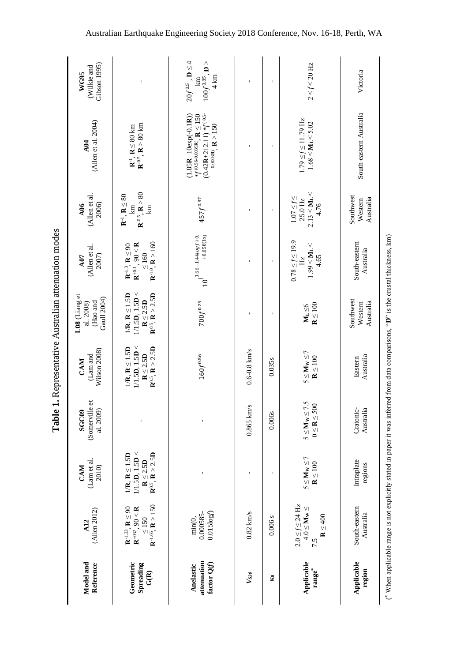|                                                    |                                                                                                                                            |                                                                                       | Table 1                                      |                                                                                       |                                                                                                      | <b>I. Representative Australian attenuation modes</b>                                                                           |                                                                        |                                                                                                                     |                                                                        |
|----------------------------------------------------|--------------------------------------------------------------------------------------------------------------------------------------------|---------------------------------------------------------------------------------------|----------------------------------------------|---------------------------------------------------------------------------------------|------------------------------------------------------------------------------------------------------|---------------------------------------------------------------------------------------------------------------------------------|------------------------------------------------------------------------|---------------------------------------------------------------------------------------------------------------------|------------------------------------------------------------------------|
| Model and<br>Reference                             | $($ Allen 2012)<br>A12                                                                                                                     | (Lam et al.<br>CAM<br>2010)                                                           | (Somerville et<br>al. 2009)<br><b>SGC09</b>  | Wilson 2008)<br>(Lam and<br>CAM                                                       | L08 (Liang et<br>Gaull 2004)<br>(Hao and<br>al. 2008)                                                | (Allen et al.<br>2007)<br>A07                                                                                                   | (Allen et al.<br>2006)<br>A06                                          | (Allen et al. 2004)<br>$\triangle$ <sub>04</sub>                                                                    | Gibson 1995)<br>(Wilkie and<br>WG95                                    |
| Geometric<br>Spreading<br>$\widetilde{\mathbf{G}}$ | ${\bf R}^{-1.66}$ , ${\bf R} > 150$<br>$\mathbf{R}^{\text{-}1.33},\,\mathbf{R}\leq90$<br>$\mathbf{R}^{+032},\,90<\mathbf{R}$<br>$\leq 150$ | $1/1.5D$ , $1.5D <$<br>$1/R$ , $R \le 1.5D$<br>$R \le 2.5D$<br>$R^{0.5}$ , $R > 2.5D$ |                                              | $1/1.5D$ , $1.5D <$<br>$R^{0.5}$ , $R > 2.5D$<br>$1/R$ , $R \le 1.5D$<br>$R\leq 2.5D$ | $1/1.5D$ , $1.5D <$<br>${\bf R}^{0.5}, {\bf R} > 2.5{\bf D}$<br>$1/R$ , $R \le 1.5D$<br>$R \le 2.5D$ | ${\bf R}^{-1.0}, {\bf R} > 160$<br>${\bf R}^{+0.1}$ , 90 < ${\bf R}$<br>$\mathbf{R}^{-.3}, \, \mathbf{R} \leq 90$<br>$\leq 160$ | $R^{0.5}$ , $R > 80$<br>$R^{-1}$ , $R \leq 80$<br>$\Xi$<br>E           | $\mathbf{R}^{0.5},\,\mathbf{R}>80$ km<br>$\mathbf{R}^{-1}$ , $\mathbf{R} \leq 80$ km                                |                                                                        |
| attenuation<br>factor Q(f)<br>Anelastic            | 0.015log(f)<br>0.000585-<br>min(0,                                                                                                         |                                                                                       |                                              | $160f^{0.56}$                                                                         | $700f^{0.25}$                                                                                        | $10^{3.66-1.44logf + 0.5}$                                                                                                      | $457f^{0.37}$                                                          | $(1.85R + 10exp(-0.1R))$<br>$(0.42R+212.11)*f(0.5-$<br>* $f^{(0.96-0.0039R)}$ , R $\leq$ 150<br>0.0003R), $R > 150$ | $20f^{0.5}$ , $D \leq 4$<br>$100f^{0.85}, D >$<br>$4 \text{ km}$<br>km |
| $V_{S3\theta}$                                     | $0.82$ km/s                                                                                                                                |                                                                                       | $0.865$ km/s                                 | $0.6 - 0.8$ km/s                                                                      |                                                                                                      |                                                                                                                                 |                                                                        |                                                                                                                     |                                                                        |
| S                                                  | 0.006s                                                                                                                                     |                                                                                       | 0.006s                                       | 0.035s                                                                                |                                                                                                      |                                                                                                                                 | $\mathbf{I}$                                                           |                                                                                                                     |                                                                        |
| Applicable<br>range*                               | $2.0 \leq f \leq 24$ Hz<br>$4.0 \leq \mathbf{M}\mathbf{w} \leq$<br>${\bf R} \le 400$<br>7.5                                                | $5 \leq M_W \leq 7$<br>${\bf R} \le 100$                                              | $5 \leq M_W \leq 7.5$<br>$0 \leq R \leq 500$ | $5 \leq M_{\rm W} \leq 7$<br>$\mathbf{R} \leq 100$                                    | ${\bf R} \le 100$<br>$M_L \leq 6$                                                                    | $0.78 \le f \le 19.9$<br>$1.99 \leq \mathbf{M}\mathbf{L} \leq$<br>4.65<br>Hz                                                    | $2.13 \leq \mathbf{M_L} \leq$<br>$1.07 \leq f \leq$<br>25.0 Hz<br>4.76 | $1.79 \le f \le 11.79$ Hz<br>$1.68 \le M_L \le 5.02$                                                                | $2 \leq f \leq 20$ Hz                                                  |
| Applicable<br>region                               | South-eastern<br>Australia                                                                                                                 | Intraplate<br>regions                                                                 | Cratonic-<br>Australia                       | Australia<br>Eastern                                                                  | Southwest<br>Australia<br>Western                                                                    | South-eastern<br>Australia                                                                                                      | Southwest<br>Australia<br>Western                                      | South-eastern Australia                                                                                             | Victoria                                                               |

 $\smash{C}$ 

When applicable range is not explicitly stated in paper it was inferred from data comparisons, "

**D**" is the crustal thickness, km)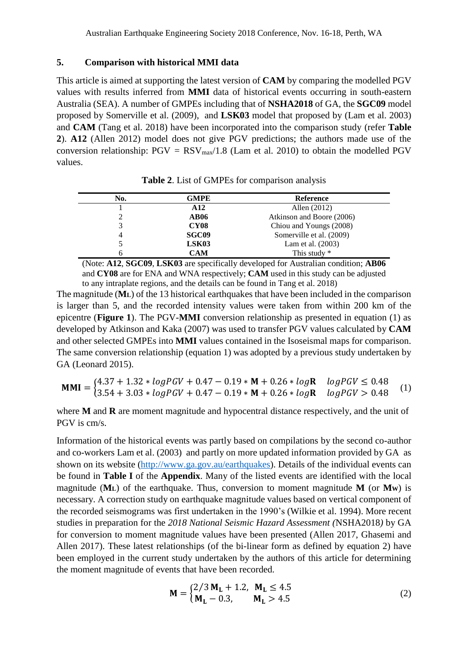#### **5. Comparison with historical MMI data**

This article is aimed at supporting the latest version of **CAM** by comparing the modelled PGV values with results inferred from **MMI** data of historical events occurring in south-eastern Australia (SEA). A number of GMPEs including that of **NSHA2018** of GA, the **SGC09** model proposed by Somerville et al. (2009), and **LSK03** model that proposed by (Lam et al. 2003) and **CAM** (Tang et al. 2018) have been incorporated into the comparison study (refer **Table 2**). **A12** (Allen 2012) model does not give PGV predictions; the authors made use of the conversion relationship:  $PGV = RSV_{max}/1.8$  (Lam et al. 2010) to obtain the modelled PGV values.

| No. | GMPE            | <b>Reference</b>          |  |
|-----|-----------------|---------------------------|--|
|     | A <sub>12</sub> | Allen $(2012)$            |  |
|     | <b>AB06</b>     | Atkinson and Boore (2006) |  |
| 3   | <b>CY08</b>     | Chiou and Youngs (2008)   |  |
| 4   | <b>SGC09</b>    | Somerville et al. (2009)  |  |
|     | LSK03           | Lam et al. (2003)         |  |
| 6   | CAM             | This study $*$            |  |

**Table 2**. List of GMPEs for comparison analysis

(Note: **A12**, **SGC09**, **LSK03** are specifically developed for Australian condition; **AB06** and **CY08** are for ENA and WNA respectively; **CAM** used in this study can be adjusted to any intraplate regions, and the details can be found in Tang et al. 2018)

The magnitude (**ML**) of the 13 historical earthquakes that have been included in the comparison is larger than 5, and the recorded intensity values were taken from within 200 km of the epicentre (**Figure 1**). The PGV-**MMI** conversion relationship as presented in equation (1) as developed by Atkinson and Kaka (2007) was used to transfer PGV values calculated by **CAM** and other selected GMPEs into **MMI** values contained in the Isoseismal maps for comparison. The same conversion relationship (equation 1) was adopted by a previous study undertaken by GA (Leonard 2015).

$$
MMI = \begin{cases} 4.37 + 1.32 * logPGV + 0.47 - 0.19 * M + 0.26 * logR & logPGV \le 0.48 \\ 3.54 + 3.03 * logPGV + 0.47 - 0.19 * M + 0.26 * logR & logPGV > 0.48 \end{cases}
$$
(1)

where **M** and **R** are moment magnitude and hypocentral distance respectively, and the unit of PGV is cm/s.

Information of the historical events was partly based on compilations by the second co-author and co-workers Lam et al. (2003) and partly on more updated information provided by GA as shown on its website [\(http://www.ga.gov.au/earthquakes\)](http://www.ga.gov.au/earthquakes). Details of the individual events can be found in **Table I** of the **Appendix**. Many of the listed events are identified with the local magnitude  $(M<sub>L</sub>)$  of the earthquake. Thus, conversion to moment magnitude  $M$  (or  $M<sub>W</sub>$ ) is necessary. A correction study on earthquake magnitude values based on vertical component of the recorded seismograms was first undertaken in the 1990's (Wilkie et al. 1994). More recent studies in preparation for the *2018 National Seismic Hazard Assessment (*NSHA2018*)* by GA for conversion to moment magnitude values have been presented (Allen 2017, Ghasemi and Allen 2017). These latest relationships (of the bi-linear form as defined by equation 2) have been employed in the current study undertaken by the authors of this article for determining the moment magnitude of events that have been recorded.

$$
\mathbf{M} = \begin{cases} 2/3 \, \mathbf{M}_{\mathbf{L}} + 1.2, & \mathbf{M}_{\mathbf{L}} \le 4.5 \\ \mathbf{M}_{\mathbf{L}} - 0.3, & \mathbf{M}_{\mathbf{L}} > 4.5 \end{cases} \tag{2}
$$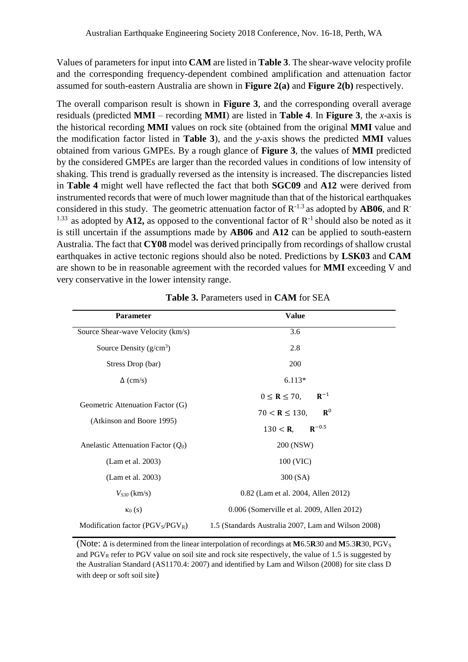Values of parameters for input into **CAM** are listed in **Table 3**. The shear-wave velocity profile and the corresponding frequency-dependent combined amplification and attenuation factor assumed for south-eastern Australia are shown in **Figure 2(a)** and **Figure 2(b)** respectively.

The overall comparison result is shown in **Figure 3**, and the corresponding overall average residuals (predicted **MMI** – recording **MMI**) are listed in **Table 4**. In **Figure 3**, the *x*-axis is the historical recording **MMI** values on rock site (obtained from the original **MMI** value and the modification factor listed in **Table 3**), and the *y*-axis shows the predicted **MMI** values obtained from various GMPEs. By a rough glance of **Figure 3**, the values of **MMI** predicted by the considered GMPEs are larger than the recorded values in conditions of low intensity of shaking. This trend is gradually reversed as the intensity is increased. The discrepancies listed in **Table 4** might well have reflected the fact that both **SGC09** and **A12** were derived from instrumented records that were of much lower magnitude than that of the historical earthquakes considered in this study. The geometric attenuation factor of R-1.3 as adopted by **AB06**, and R-<sup>1.33</sup> as adopted by **A12**, as opposed to the conventional factor of  $\mathbb{R}^{-1}$  should also be noted as it is still uncertain if the assumptions made by **AB06** and **A12** can be applied to south-eastern Australia. The fact that **CY08** model was derived principally from recordings of shallow crustal earthquakes in active tectonic regions should also be noted. Predictions by **LSK03** and **CAM** are shown to be in reasonable agreement with the recorded values for **MMI** exceeding V and very conservative in the lower intensity range.

| <b>Parameter</b>                      | <b>Value</b>                                        |  |  |  |
|---------------------------------------|-----------------------------------------------------|--|--|--|
| Source Shear-wave Velocity (km/s)     | 3.6                                                 |  |  |  |
| Source Density $(g/cm^3)$             | 2.8                                                 |  |  |  |
| Stress Drop (bar)                     | 200                                                 |  |  |  |
| $\Delta$ (cm/s)                       | $6.113*$                                            |  |  |  |
|                                       | $R^{-1}$<br>$0 \leq R \leq 70$ ,                    |  |  |  |
| Geometric Attenuation Factor (G)      | ${\bf R}^0$<br>$70 < R \le 130$ ,                   |  |  |  |
| (Atkinson and Boore 1995)             | $R^{-0.5}$<br>$130 < R$ ,                           |  |  |  |
| Anelastic Attenuation Factor $(Q_0)$  | 200 (NSW)                                           |  |  |  |
| (Lam et al. 2003)                     | 100 (VIC)                                           |  |  |  |
| (Lam et al. 2003)                     | 300 (SA)                                            |  |  |  |
| $V_{S30}$ (km/s)                      | 0.82 (Lam et al. 2004, Allen 2012)                  |  |  |  |
| $\kappa_0(s)$                         | 0.006 (Somerville et al. 2009, Allen 2012)          |  |  |  |
| Modification factor ( $PGV_S/PGV_R$ ) | 1.5 (Standards Australia 2007, Lam and Wilson 2008) |  |  |  |

**Table 3.** Parameters used in **CAM** for SEA

(Note: ∆ is determined from the linear interpolation of recordings at **M**6.5**R**30 and **M**5.3**R**30, PGV<sup>S</sup> and  $PGV_R$  refer to PGV value on soil site and rock site respectively, the value of 1.5 is suggested by the Australian Standard (AS1170.4: 2007) and identified by Lam and Wilson (2008) for site class D with deep or soft soil site)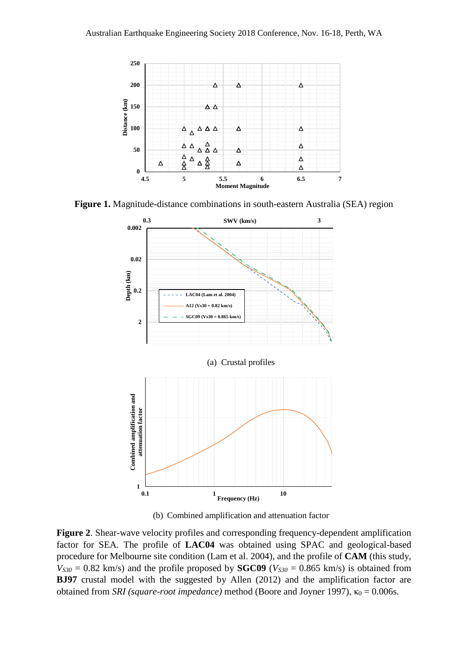

**Figure 1.** Magnitude-distance combinations in south-eastern Australia (SEA) region



(b) Combined amplification and attenuation factor

**Figure 2**. Shear-wave velocity profiles and corresponding frequency-dependent amplification factor for SEA. The profile of **LAC04** was obtained using SPAC and geological-based procedure for Melbourne site condition (Lam et al. 2004), and the profile of **CAM** (this study,  $V_{S30} = 0.82$  km/s) and the profile proposed by **SGC09** ( $V_{S30} = 0.865$  km/s) is obtained from **BJ97** crustal model with the suggested by Allen (2012) and the amplification factor are obtained from *SRI (square-root impedance)* method (Boore and Joyner 1997),  $\kappa_0 = 0.006s$ .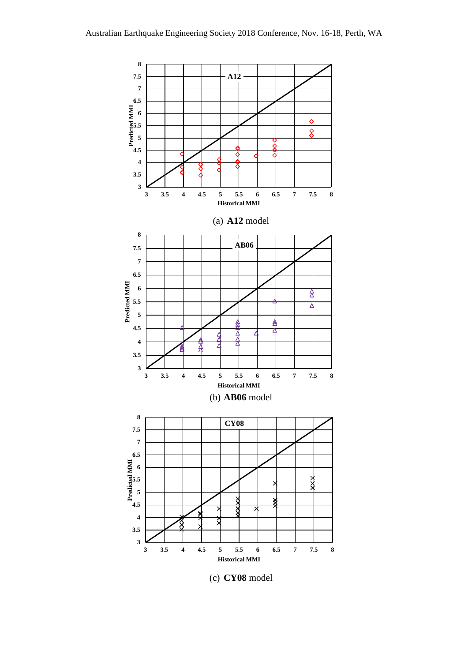

(c) **CY08** model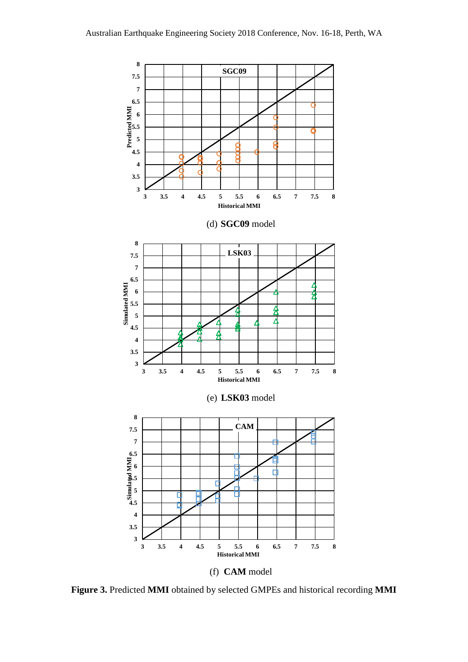

**Figure 3.** Predicted **MMI** obtained by selected GMPEs and historical recording **MMI**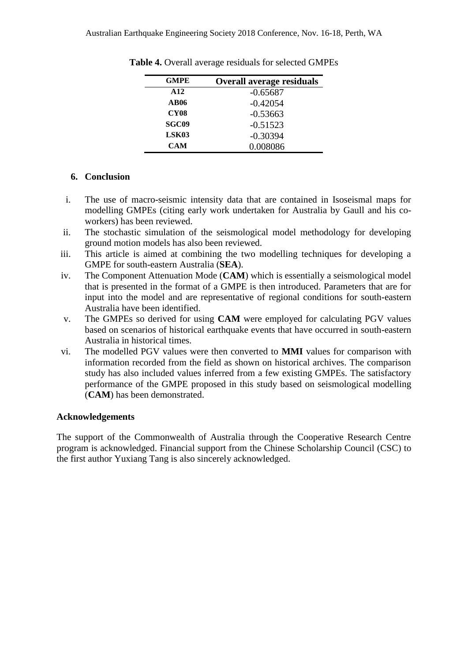| <b>GMPE</b>     | <b>Overall average residuals</b> |
|-----------------|----------------------------------|
| A <sub>12</sub> | $-0.65687$                       |
| AB06            | $-0.42054$                       |
| <b>CY08</b>     | $-0.53663$                       |
| SGC09           | $-0.51523$                       |
| LSK03           | $-0.30394$                       |
| <b>CAM</b>      | 0.008086                         |

**Table 4.** Overall average residuals for selected GMPEs

# **6. Conclusion**

- i. The use of macro-seismic intensity data that are contained in Isoseismal maps for modelling GMPEs (citing early work undertaken for Australia by Gaull and his coworkers) has been reviewed.
- ii. The stochastic simulation of the seismological model methodology for developing ground motion models has also been reviewed.
- iii. This article is aimed at combining the two modelling techniques for developing a GMPE for south-eastern Australia (**SEA**).
- iv. The Component Attenuation Mode (**CAM**) which is essentially a seismological model that is presented in the format of a GMPE is then introduced. Parameters that are for input into the model and are representative of regional conditions for south-eastern Australia have been identified.
- v. The GMPEs so derived for using **CAM** were employed for calculating PGV values based on scenarios of historical earthquake events that have occurred in south-eastern Australia in historical times.
- vi. The modelled PGV values were then converted to **MMI** values for comparison with information recorded from the field as shown on historical archives. The comparison study has also included values inferred from a few existing GMPEs. The satisfactory performance of the GMPE proposed in this study based on seismological modelling (**CAM**) has been demonstrated.

# **Acknowledgements**

The support of the Commonwealth of Australia through the Cooperative Research Centre program is acknowledged. Financial support from the Chinese Scholarship Council (CSC) to the first author Yuxiang Tang is also sincerely acknowledged.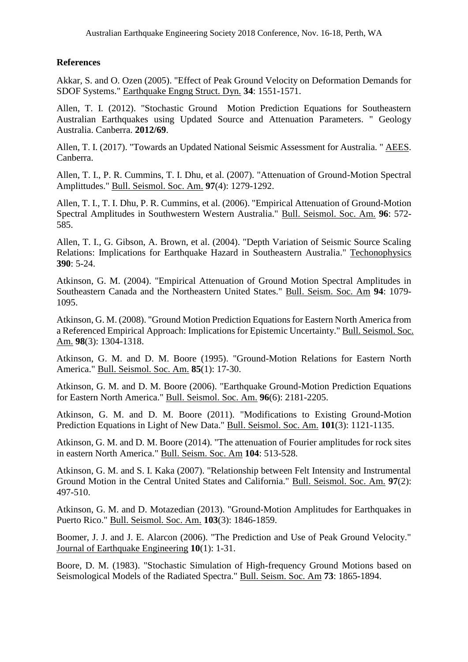# **References**

Akkar, S. and O. Ozen (2005). "Effect of Peak Ground Velocity on Deformation Demands for SDOF Systems." Earthquake Engng Struct. Dyn. **34**: 1551-1571.

Allen, T. I. (2012). "Stochastic Ground Motion Prediction Equations for Southeastern Australian Earthquakes using Updated Source and Attenuation Parameters. " Geology Australia. Canberra. **2012/69**.

Allen, T. I. (2017). "Towards an Updated National Seismic Assessment for Australia. " AEES. Canberra.

Allen, T. I., P. R. Cummins, T. I. Dhu, et al. (2007). "Attenuation of Ground-Motion Spectral Amplittudes." Bull. Seismol. Soc. Am. **97**(4): 1279-1292.

Allen, T. I., T. I. Dhu, P. R. Cummins, et al. (2006). "Empirical Attenuation of Ground-Motion Spectral Amplitudes in Southwestern Western Australia." Bull. Seismol. Soc. Am. **96**: 572- 585.

Allen, T. I., G. Gibson, A. Brown, et al. (2004). "Depth Variation of Seismic Source Scaling Relations: Implications for Earthquake Hazard in Southeastern Australia." Techonophysics **390**: 5-24.

Atkinson, G. M. (2004). "Empirical Attenuation of Ground Motion Spectral Amplitudes in Southeastern Canada and the Northeastern United States." Bull. Seism. Soc. Am **94**: 1079- 1095.

Atkinson, G. M. (2008). "Ground Motion Prediction Equations for Eastern North America from a Referenced Empirical Approach: Implications for Epistemic Uncertainty." Bull. Seismol. Soc. Am. **98**(3): 1304-1318.

Atkinson, G. M. and D. M. Boore (1995). "Ground-Motion Relations for Eastern North America." Bull. Seismol. Soc. Am. **85**(1): 17-30.

Atkinson, G. M. and D. M. Boore (2006). "Earthquake Ground-Motion Prediction Equations for Eastern North America." Bull. Seismol. Soc. Am. **96**(6): 2181-2205.

Atkinson, G. M. and D. M. Boore (2011). "Modifications to Existing Ground-Motion Prediction Equations in Light of New Data." Bull. Seismol. Soc. Am. **101**(3): 1121-1135.

Atkinson, G. M. and D. M. Boore (2014). "The attenuation of Fourier amplitudes for rock sites in eastern North America." Bull. Seism. Soc. Am **104**: 513-528.

Atkinson, G. M. and S. I. Kaka (2007). "Relationship between Felt Intensity and Instrumental Ground Motion in the Central United States and California." Bull. Seismol. Soc. Am. **97**(2): 497-510.

Atkinson, G. M. and D. Motazedian (2013). "Ground-Motion Amplitudes for Earthquakes in Puerto Rico." Bull. Seismol. Soc. Am. **103**(3): 1846-1859.

Boomer, J. J. and J. E. Alarcon (2006). "The Prediction and Use of Peak Ground Velocity." Journal of Earthquake Engineering **10**(1): 1-31.

Boore, D. M. (1983). "Stochastic Simulation of High-frequency Ground Motions based on Seismological Models of the Radiated Spectra." Bull. Seism. Soc. Am **73**: 1865-1894.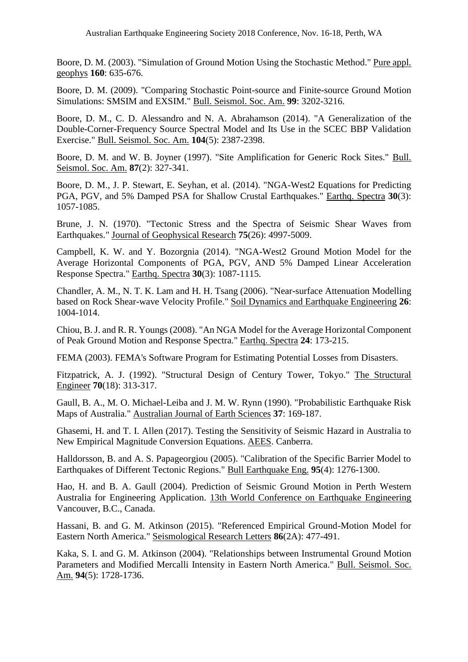Boore, D. M. (2003). "Simulation of Ground Motion Using the Stochastic Method." Pure appl. geophys **160**: 635-676.

Boore, D. M. (2009). "Comparing Stochastic Point-source and Finite-source Ground Motion Simulations: SMSIM and EXSIM." Bull. Seismol. Soc. Am. **99**: 3202-3216.

Boore, D. M., C. D. Alessandro and N. A. Abrahamson (2014). "A Generalization of the Double-Corner-Frequency Source Spectral Model and Its Use in the SCEC BBP Validation Exercise." Bull. Seismol. Soc. Am. **104**(5): 2387-2398.

Boore, D. M. and W. B. Joyner (1997). "Site Amplification for Generic Rock Sites." Bull. Seismol. Soc. Am. **87**(2): 327-341.

Boore, D. M., J. P. Stewart, E. Seyhan, et al. (2014). "NGA-West2 Equations for Predicting PGA, PGV, and 5% Damped PSA for Shallow Crustal Earthquakes." Earthq. Spectra **30**(3): 1057-1085.

Brune, J. N. (1970). "Tectonic Stress and the Spectra of Seismic Shear Waves from Earthquakes." Journal of Geophysical Research **75**(26): 4997-5009.

Campbell, K. W. and Y. Bozorgnia (2014). "NGA-West2 Ground Motion Model for the Average Horizontal Components of PGA, PGV, AND 5% Damped Linear Acceleration Response Spectra." Earthq. Spectra **30**(3): 1087-1115.

Chandler, A. M., N. T. K. Lam and H. H. Tsang (2006). "Near-surface Attenuation Modelling based on Rock Shear-wave Velocity Profile." Soil Dynamics and Earthquake Engineering **26**: 1004-1014.

Chiou, B. J. and R. R. Youngs (2008). "An NGA Model for the Average Horizontal Component of Peak Ground Motion and Response Spectra." Earthq. Spectra **24**: 173-215.

FEMA (2003). FEMA's Software Program for Estimating Potential Losses from Disasters.

Fitzpatrick, A. J. (1992). "Structural Design of Century Tower, Tokyo." The Structural Engineer **70**(18): 313-317.

Gaull, B. A., M. O. Michael-Leiba and J. M. W. Rynn (1990). "Probabilistic Earthquake Risk Maps of Australia." Australian Journal of Earth Sciences **37**: 169-187.

Ghasemi, H. and T. I. Allen (2017). Testing the Sensitivity of Seismic Hazard in Australia to New Empirical Magnitude Conversion Equations. AEES. Canberra.

Halldorsson, B. and A. S. Papageorgiou (2005). "Calibration of the Specific Barrier Model to Earthquakes of Different Tectonic Regions." Bull Earthquake Eng. **95**(4): 1276-1300.

Hao, H. and B. A. Gaull (2004). Prediction of Seismic Ground Motion in Perth Western Australia for Engineering Application. 13th World Conference on Earthquake Engineering Vancouver, B.C., Canada.

Hassani, B. and G. M. Atkinson (2015). "Referenced Empirical Ground-Motion Model for Eastern North America." Seismological Research Letters **86**(2A): 477-491.

Kaka, S. I. and G. M. Atkinson (2004). "Relationships between Instrumental Ground Motion Parameters and Modified Mercalli Intensity in Eastern North America." Bull. Seismol. Soc. Am. **94**(5): 1728-1736.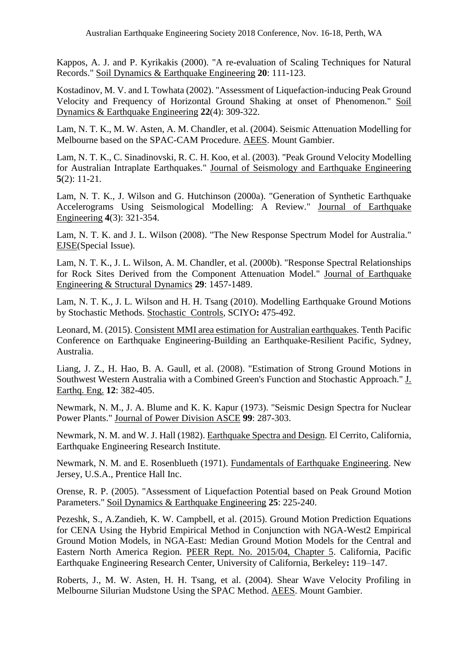Kappos, A. J. and P. Kyrikakis (2000). "A re-evaluation of Scaling Techniques for Natural Records." Soil Dynamics & Earthquake Engineering **20**: 111-123.

Kostadinov, M. V. and I. Towhata (2002). "Assessment of Liquefaction-inducing Peak Ground Velocity and Frequency of Horizontal Ground Shaking at onset of Phenomenon." Soil Dynamics & Earthquake Engineering **22**(4): 309-322.

Lam, N. T. K., M. W. Asten, A. M. Chandler, et al. (2004). Seismic Attenuation Modelling for Melbourne based on the SPAC-CAM Procedure. AEES. Mount Gambier.

Lam, N. T. K., C. Sinadinovski, R. C. H. Koo, et al. (2003). "Peak Ground Velocity Modelling for Australian Intraplate Earthquakes." Journal of Seismology and Earthquake Engineering **5**(2): 11-21.

Lam, N. T. K., J. Wilson and G. Hutchinson (2000a). "Generation of Synthetic Earthquake Accelerograms Using Seismological Modelling: A Review." Journal of Earthquake Engineering **4**(3): 321-354.

Lam, N. T. K. and J. L. Wilson (2008). "The New Response Spectrum Model for Australia." EJSE(Special Issue).

Lam, N. T. K., J. L. Wilson, A. M. Chandler, et al. (2000b). "Response Spectral Relationships for Rock Sites Derived from the Component Attenuation Model." Journal of Earthquake Engineering & Structural Dynamics **29**: 1457-1489.

Lam, N. T. K., J. L. Wilson and H. H. Tsang (2010). Modelling Earthquake Ground Motions by Stochastic Methods. Stochastic Controls, SCIYO**:** 475-492.

Leonard, M. (2015). Consistent MMI area estimation for Australian earthquakes. Tenth Pacific Conference on Earthquake Engineering-Building an Earthquake-Resilient Pacific, Sydney, Australia.

Liang, J. Z., H. Hao, B. A. Gaull, et al. (2008). "Estimation of Strong Ground Motions in Southwest Western Australia with a Combined Green's Function and Stochastic Approach." J. Earthq. Eng. **12**: 382-405.

Newmark, N. M., J. A. Blume and K. K. Kapur (1973). "Seismic Design Spectra for Nuclear Power Plants." Journal of Power Division ASCE **99**: 287-303.

Newmark, N. M. and W. J. Hall (1982). Earthquake Spectra and Design. El Cerrito, California, Earthquake Engineering Research Institute.

Newmark, N. M. and E. Rosenblueth (1971). Fundamentals of Earthquake Engineering. New Jersey, U.S.A., Prentice Hall Inc.

Orense, R. P. (2005). "Assessment of Liquefaction Potential based on Peak Ground Motion Parameters." Soil Dynamics & Earthquake Engineering **25**: 225-240.

Pezeshk, S., A.Zandieh, K. W. Campbell, et al. (2015). Ground Motion Prediction Equations for CENA Using the Hybrid Empirical Method in Conjunction with NGA-West2 Empirical Ground Motion Models, in NGA-East: Median Ground Motion Models for the Central and Eastern North America Region. PEER Rept. No. 2015/04, Chapter 5. California, Pacific Earthquake Engineering Research Center, University of California, Berkeley**:** 119–147.

Roberts, J., M. W. Asten, H. H. Tsang, et al. (2004). Shear Wave Velocity Profiling in Melbourne Silurian Mudstone Using the SPAC Method. AEES. Mount Gambier.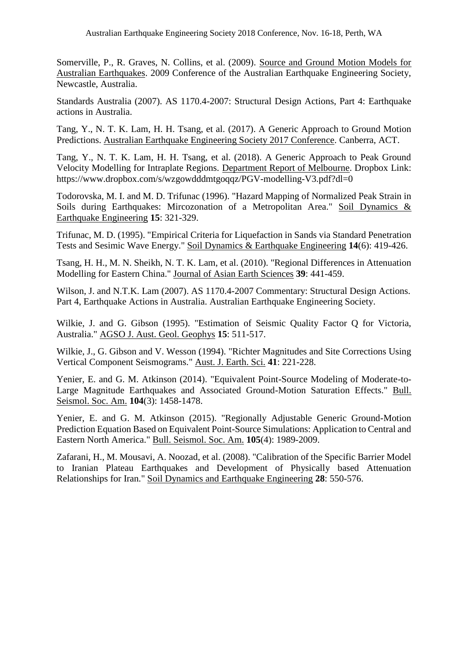Somerville, P., R. Graves, N. Collins, et al. (2009). Source and Ground Motion Models for Australian Earthquakes. 2009 Conference of the Australian Earthquake Engineering Society, Newcastle, Australia.

Standards Australia (2007). AS 1170.4-2007: Structural Design Actions, Part 4: Earthquake actions in Australia.

Tang, Y., N. T. K. Lam, H. H. Tsang, et al. (2017). A Generic Approach to Ground Motion Predictions. Australian Earthquake Engineering Society 2017 Conference. Canberra, ACT.

Tang, Y., N. T. K. Lam, H. H. Tsang, et al. (2018). A Generic Approach to Peak Ground Velocity Modelling for Intraplate Regions. Department Report of Melbourne. Dropbox Link: https://www.dropbox.com/s/wzgowdddmtgoqqz/PGV-modelling-V3.pdf?dl=0

Todorovska, M. I. and M. D. Trifunac (1996). "Hazard Mapping of Normalized Peak Strain in Soils during Earthquakes: Mircozonation of a Metropolitan Area." Soil Dynamics & Earthquake Engineering **15**: 321-329.

Trifunac, M. D. (1995). "Empirical Criteria for Liquefaction in Sands via Standard Penetration Tests and Sesimic Wave Energy." Soil Dynamics & Earthquake Engineering **14**(6): 419-426.

Tsang, H. H., M. N. Sheikh, N. T. K. Lam, et al. (2010). "Regional Differences in Attenuation Modelling for Eastern China." Journal of Asian Earth Sciences **39**: 441-459.

Wilson, J. and N.T.K. Lam (2007). AS 1170.4-2007 Commentary: Structural Design Actions. Part 4, Earthquake Actions in Australia. Australian Earthquake Engineering Society.

Wilkie, J. and G. Gibson (1995). "Estimation of Seismic Quality Factor Q for Victoria, Australia." AGSO J. Aust. Geol. Geophys **15**: 511-517.

Wilkie, J., G. Gibson and V. Wesson (1994). "Richter Magnitudes and Site Corrections Using Vertical Component Seismograms." Aust. J. Earth. Sci. **41**: 221-228.

Yenier, E. and G. M. Atkinson (2014). "Equivalent Point-Source Modeling of Moderate-to-Large Magnitude Earthquakes and Associated Ground-Motion Saturation Effects." Bull. Seismol. Soc. Am. **104**(3): 1458-1478.

Yenier, E. and G. M. Atkinson (2015). "Regionally Adjustable Generic Ground-Motion Prediction Equation Based on Equivalent Point-Source Simulations: Application to Central and Eastern North America." Bull. Seismol. Soc. Am. **105**(4): 1989-2009.

Zafarani, H., M. Mousavi, A. Noozad, et al. (2008). "Calibration of the Specific Barrier Model to Iranian Plateau Earthquakes and Development of Physically based Attenuation Relationships for Iran." Soil Dynamics and Earthquake Engineering **28**: 550-576.